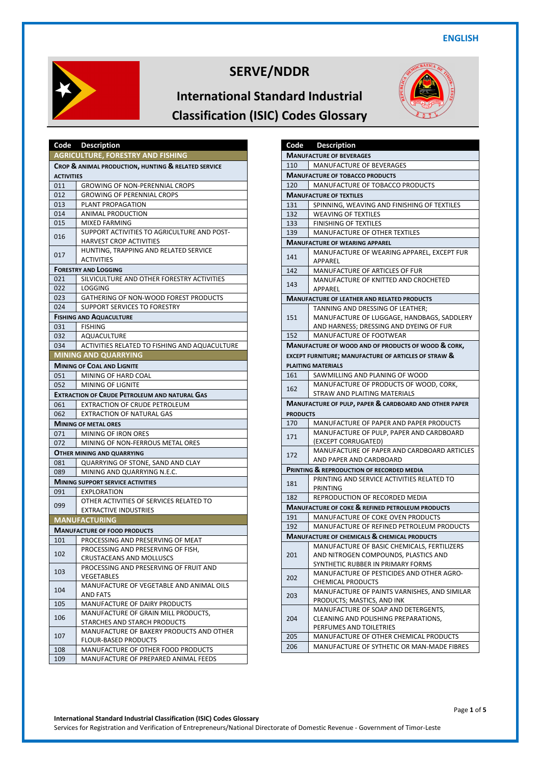



|                   | Code Description                                                              |
|-------------------|-------------------------------------------------------------------------------|
|                   | <b>AGRICULTURE, FORESTRY AND FISHING</b>                                      |
|                   | CROP & ANIMAL PRODUCTION, HUNTING & RELATED SERVICE                           |
| <b>ACTIVITIES</b> |                                                                               |
| 011               | <b>GROWING OF NON-PERENNIAL CROPS</b>                                         |
| 012               | <b>GROWING OF PERENNIAL CROPS</b>                                             |
| 013               | PLANT PROPAGATION                                                             |
| 014               | ANIMAL PRODUCTION                                                             |
| 015               | MIXED FARMING                                                                 |
| 016               | SUPPORT ACTIVITIES TO AGRICULTURE AND POST-<br><b>HARVEST CROP ACTIVITIES</b> |
| 017               | HUNTING, TRAPPING AND RELATED SERVICE<br><b>ACTIVITIES</b>                    |
|                   | <b>FORESTRY AND LOGGING</b>                                                   |
| 021               | SILVICULTURE AND OTHER FORESTRY ACTIVITIES                                    |
| 022               | LOGGING                                                                       |
| 023               | GATHERING OF NON-WOOD FOREST PRODUCTS                                         |
| 024               | SUPPORT SERVICES TO FORESTRY                                                  |
|                   | <b>FISHING AND AQUACULTURE</b>                                                |
| 031               | <b>FISHING</b>                                                                |
| 032               | AQUACULTURE                                                                   |
| 034               | ACTIVITIES RELATED TO FISHING AND AQUACULTURE                                 |
|                   | <b>MINING AND QUARRYING</b>                                                   |
|                   | <b>MINING OF COAL AND LIGNITE</b>                                             |
| 051               | MINING OF HARD COAL                                                           |
| 052               | MINING OF LIGNITE                                                             |
|                   | <b>EXTRACTION OF CRUDE PETROLEUM AND NATURAL GAS</b>                          |
| 061               | EXTRACTION OF CRUDE PETROLEUM                                                 |
| 062               | <b>EXTRACTION OF NATURAL GAS</b>                                              |
|                   |                                                                               |
| 071               | <b>MINING OF METAL ORES</b>                                                   |
| 072               | MINING OF IRON ORES<br>MINING OF NON-FERROUS METAL ORES                       |
|                   |                                                                               |
|                   | <b>OTHER MINING AND QUARRYING</b>                                             |
| 081               | QUARRYING OF STONE, SAND AND CLAY                                             |
| 089               | MINING AND QUARRYING N.E.C.                                                   |
|                   | <b>MINING SUPPORT SERVICE ACTIVITIES</b>                                      |
| 091               | <b>EXPLORATION</b>                                                            |
| 099               | OTHER ACTIVITIES OF SERVICES RELATED TO                                       |
|                   | <b>EXTRACTIVE INDUSTRIES</b>                                                  |
|                   | <b>MANUFACTURING</b>                                                          |
|                   | <b>MANUFACTURE OF FOOD PRODUCTS</b>                                           |
| 101               | PROCESSING AND PRESERVING OF MEAT                                             |
| 102               | PROCESSING AND PRESERVING OF FISH,<br>CRUSTACEANS AND MOLLUSCS                |
| 103               | PROCESSING AND PRESERVING OF FRUIT AND<br><b>VEGETABLES</b>                   |
| 104               | MANUFACTURE OF VEGETABLE AND ANIMAL OILS<br>AND FATS                          |
| 105               | MANUFACTURE OF DAIRY PRODUCTS                                                 |
| 106               | MANUFACTURE OF GRAIN MILL PRODUCTS,<br>STARCHES AND STARCH PRODUCTS           |
| 107               | MANUFACTURE OF BAKERY PRODUCTS AND OTHER<br><b>FLOUR-BASED PRODUCTS</b>       |
| 108               | MANUFACTURE OF OTHER FOOD PRODUCTS                                            |
| 109               | MANUFACTURE OF PREPARED ANIMAL FEEDS                                          |

| Code                                                    | <b>Description</b>                                                |  |
|---------------------------------------------------------|-------------------------------------------------------------------|--|
|                                                         | <b>MANUFACTURE OF BEVERAGES</b>                                   |  |
| 110                                                     | MANUFACTURE OF BEVERAGES                                          |  |
| <b>MANUFACTURE OF TOBACCO PRODUCTS</b>                  |                                                                   |  |
| 120                                                     | MANUFACTURE OF TOBACCO PRODUCTS                                   |  |
|                                                         | <b>MANUFACTURE OF TEXTILES</b>                                    |  |
| 131                                                     | SPINNING, WEAVING AND FINISHING OF TEXTILES                       |  |
| 132                                                     | <b>WEAVING OF TEXTILES</b>                                        |  |
| 133                                                     | FINISHING OF TEXTILES                                             |  |
| 139                                                     | MANUFACTURE OF OTHER TEXTILES                                     |  |
|                                                         | <b>MANUFACTURE OF WEARING APPAREL</b>                             |  |
| 141                                                     | MANUFACTURE OF WEARING APPAREL, EXCEPT FUR<br>APPAREL             |  |
| 142                                                     | MANUFACTURE OF ARTICLES OF FUR                                    |  |
| 143                                                     | MANUFACTURE OF KNITTED AND CROCHETED<br>APPAREL                   |  |
|                                                         | <b>MANUFACTURE OF LEATHER AND RELATED PRODUCTS</b>                |  |
|                                                         | TANNING AND DRESSING OF LEATHER;                                  |  |
| 151                                                     | MANUFACTURE OF LUGGAGE, HANDBAGS, SADDLERY                        |  |
|                                                         | AND HARNESS; DRESSING AND DYEING OF FUR                           |  |
| 152                                                     | MANUFACTURE OF FOOTWEAR                                           |  |
|                                                         | <b>MANUFACTURE OF WOOD AND OF PRODUCTS OF WOOD &amp; CORK,</b>    |  |
|                                                         | EXCEPT FURNITURE; MANUFACTURE OF ARTICLES OF STRAW &              |  |
|                                                         | <b>PLAITING MATERIALS</b>                                         |  |
| 161                                                     | SAWMILLING AND PLANING OF WOOD                                    |  |
| 162                                                     | MANUFACTURE OF PRODUCTS OF WOOD, CORK,                            |  |
|                                                         | STRAW AND PLAITING MATERIALS                                      |  |
| <b>PRODUCTS</b>                                         | <b>MANUFACTURE OF PULP, PAPER &amp; CARDBOARD AND OTHER PAPER</b> |  |
| 170                                                     | MANUFACTURE OF PAPER AND PAPER PRODUCTS                           |  |
| 171                                                     | MANUFACTURE OF PULP, PAPER AND CARDBOARD                          |  |
|                                                         | (EXCEPT CORRUGATED)                                               |  |
| 172                                                     | MANUFACTURE OF PAPER AND CARDBOARD ARTICLES                       |  |
|                                                         | AND PAPER AND CARDBOARD                                           |  |
|                                                         | <b>PRINTING &amp; REPRODUCTION OF RECORDED MEDIA</b>              |  |
| 181                                                     | PRINTING AND SERVICE ACTIVITIES RELATED TO<br><b>PRINTING</b>     |  |
| 182                                                     | REPRODUCTION OF RECORDED MEDIA                                    |  |
|                                                         | <b>MANUFACTURE OF COKE &amp; REFINED PETROLEUM PRODUCTS</b>       |  |
| 191                                                     | MANUFACTURE OF COKE OVEN PRODUCTS                                 |  |
| 192                                                     | MANUFACTURE OF REFINED PETROLEUM PRODUCTS                         |  |
| <b>MANUFACTURE OF CHEMICALS &amp; CHEMICAL PRODUCTS</b> |                                                                   |  |
| MANUFACTURE OF BASIC CHEMICALS, FERTILIZERS             |                                                                   |  |
| 201                                                     | AND NITROGEN COMPOUNDS, PLASTICS AND                              |  |
|                                                         | SYNTHETIC RUBBER IN PRIMARY FORMS                                 |  |
| 202                                                     | MANUFACTURE OF PESTICIDES AND OTHER AGRO-                         |  |
|                                                         | <b>CHEMICAL PRODUCTS</b>                                          |  |
| 203                                                     | MANUFACTURE OF PAINTS VARNISHES, AND SIMILAR                      |  |
|                                                         | PRODUCTS; MASTICS, AND INK                                        |  |
|                                                         | MANUFACTURE OF SOAP AND DETERGENTS,                               |  |
| 204                                                     | CLEANING AND POLISHING PREPARATIONS,                              |  |
|                                                         | PERFUMES AND TOILETRIES                                           |  |
| 205                                                     | MANUFACTURE OF OTHER CHEMICAL PRODUCTS                            |  |
| 206                                                     | MANUFACTURE OF SYTHETIC OR MAN-MADE FIBRES                        |  |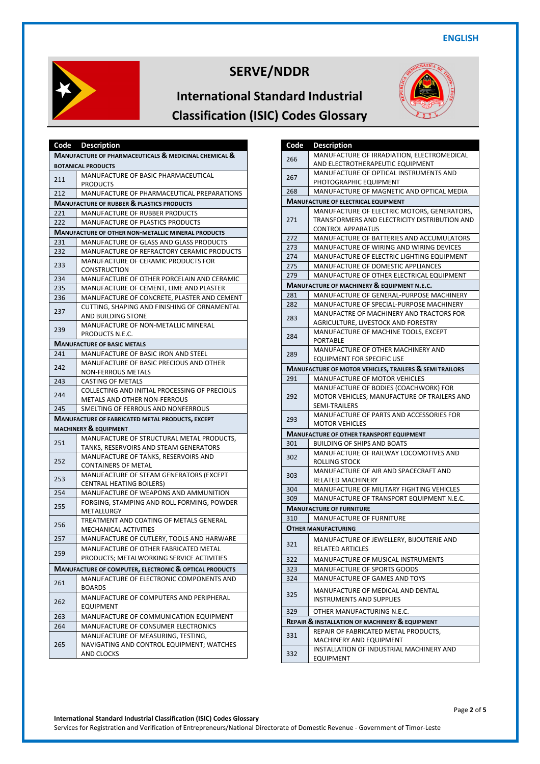



|                                                        | Code Description                                                               |  |
|--------------------------------------------------------|--------------------------------------------------------------------------------|--|
|                                                        | MANUFACTURE OF PHARMACEUTICALS & MEDICINAL CHEMICAL &                          |  |
|                                                        | <b>BOTANICAL PRODUCTS</b>                                                      |  |
|                                                        | MANUFACTURE OF BASIC PHARMACEUTICAL                                            |  |
| 211                                                    | <b>PRODUCTS</b>                                                                |  |
| 212<br>MANUFACTURE OF PHARMACEUTICAL PREPARATIONS      |                                                                                |  |
|                                                        | <b>MANUFACTURE OF RUBBER &amp; PLASTICS PRODUCTS</b>                           |  |
| 221                                                    | MANUFACTURE OF RUBBER PRODUCTS                                                 |  |
| 222                                                    | MANUFACTURE OF PLASTICS PRODUCTS                                               |  |
|                                                        | <b>MANUFACTURE OF OTHER NON-METALLIC MINERAL PRODUCTS</b>                      |  |
| 231                                                    | MANUFACTURE OF GLASS AND GLASS PRODUCTS                                        |  |
| 232                                                    | MANUFACTURE OF REFRACTORY CERAMIC PRODUCTS                                     |  |
| 233                                                    | MANUFACTURE OF CERAMIC PRODUCTS FOR                                            |  |
|                                                        | <b>CONSTRUCTION</b>                                                            |  |
| 234                                                    | MANUFACTURE OF OTHER PORCELAIN AND CERAMIC                                     |  |
| 235                                                    | MANUFACTURE OF CEMENT, LIME AND PLASTER                                        |  |
| 236                                                    | MANUFACTURE OF CONCRETE, PLASTER AND CEMENT                                    |  |
| 237                                                    | CUTTING, SHAPING AND FINISHING OF ORNAMENTAL                                   |  |
|                                                        | AND BUILDING STONE                                                             |  |
| 239                                                    | MANUFACTURE OF NON-METALLIC MINERAL                                            |  |
|                                                        | PRODUCTS N.E.C.                                                                |  |
|                                                        | <b>MANUFACTURE OF BASIC METALS</b>                                             |  |
| 241                                                    | MANUFACTURE OF BASIC IRON AND STEEL                                            |  |
| 242                                                    | MANUFACTURE OF BASIC PRECIOUS AND OTHER                                        |  |
|                                                        | <b>NON-FERROUS METALS</b>                                                      |  |
| 243                                                    | CASTING OF METALS                                                              |  |
| 244                                                    | COLLECTING AND INITIAL PROCESSING OF PRECIOUS                                  |  |
|                                                        | METALS AND OTHER NON-FERROUS                                                   |  |
| 245                                                    | SMELTING OF FERROUS AND NONFERROUS                                             |  |
|                                                        | <b>MANUFACTURE OF FABRICATED METAL PRODUCTS, EXCEPT</b>                        |  |
|                                                        | <b>MACHINERY &amp; EQUIPMENT</b>                                               |  |
| 251                                                    | MANUFACTURE OF STRUCTURAL METAL PRODUCTS,                                      |  |
|                                                        | TANKS, RESERVOIRS AND STEAM GENERATORS<br>MANUFACTURE OF TANKS, RESERVOIRS AND |  |
| 252                                                    | <b>CONTAINERS OF METAL</b>                                                     |  |
|                                                        | MANUFACTURE OF STEAM GENERATORS (EXCEPT                                        |  |
| 253                                                    | <b>CENTRAL HEATING BOILERS)</b>                                                |  |
| 254                                                    | MANUFACTURE OF WEAPONS AND AMMUNITION                                          |  |
|                                                        | FORGING, STAMPING AND ROLL FORMING, POWDER                                     |  |
| 255                                                    | METALLURGY                                                                     |  |
|                                                        | TREATMENT AND COATING OF METALS GENERAL                                        |  |
| 256                                                    | MECHANICAL ACTIVITIES                                                          |  |
| 257                                                    | MANUFACTURE OF CUTLERY, TOOLS AND HARWARE                                      |  |
|                                                        | MANUFACTURE OF OTHER FABRICATED METAL                                          |  |
| 259                                                    | PRODUCTS; METALWORKING SERVICE ACTIVITIES                                      |  |
| MANUFACTURE OF COMPUTER, ELECTRONIC & OPTICAL PRODUCTS |                                                                                |  |
|                                                        | MANUFACTURE OF ELECTRONIC COMPONENTS AND                                       |  |
| 261                                                    | <b>BOARDS</b>                                                                  |  |
| 262                                                    | MANUFACTURE OF COMPUTERS AND PERIPHERAL                                        |  |
|                                                        | EQUIPMENT                                                                      |  |
| 263                                                    | MANUFACTURE OF COMMUNICATION EQUIPMENT                                         |  |
| 264                                                    | MANUFACTURE OF CONSUMER ELECTRONICS                                            |  |
|                                                        | MANUFACTURE OF MEASURING, TESTING,                                             |  |
| 265                                                    | NAVIGATING AND CONTROL EQUIPMENT; WATCHES                                      |  |
|                                                        | AND CLOCKS                                                                     |  |

| Code                                                          | <b>Description</b>                                             |
|---------------------------------------------------------------|----------------------------------------------------------------|
|                                                               | MANUFACTURE OF IRRADIATION, ELECTROMEDICAL                     |
| 266                                                           | AND ELECTROTHERAPEUTIC EQUIPMENT                               |
| 267                                                           | MANUFACTURE OF OPTICAL INSTRUMENTS AND                         |
|                                                               | PHOTOGRAPHIC EQUIPMENT                                         |
| 268                                                           | MANUFACTURE OF MAGNETIC AND OPTICAL MEDIA                      |
|                                                               | <b>MANUFACTURE OF ELECTRICAL EQUIPMENT</b>                     |
| 271                                                           | MANUFACTURE OF ELECTRIC MOTORS, GENERATORS,                    |
|                                                               | TRANSFORMERS AND ELECTRICITY DISTRIBUTION AND                  |
|                                                               | <b>CONTROL APPARATUS</b>                                       |
| 272                                                           | MANUFACTURE OF BATTERIES AND ACCUMULATORS                      |
| 273                                                           | MANUFACTURE OF WIRING AND WIRING DEVICES                       |
| 274                                                           | MANUFACTURE OF ELECTRIC LIGHTING EQUIPMENT                     |
| 275                                                           | MANUFACTURE OF DOMESTIC APPLIANCES                             |
| 279                                                           | MANUFACTURE OF OTHER ELECTRICAL EQUIPMENT                      |
|                                                               | MANUFACTURE OF MACHINERY & EQUIPMENT N.E.C.                    |
| 281                                                           | MANUFACTURE OF GENERAL-PURPOSE MACHINERY                       |
| 282                                                           | MANUFACTURE OF SPECIAL-PURPOSE MACHINERY                       |
| 283                                                           | MANUFACTRE OF MACHINERY AND TRACTORS FOR                       |
|                                                               | AGRICULTURE, LIVESTOCK AND FORESTRY                            |
| 284                                                           | MANUFACTURE OF MACHINE TOOLS, EXCEPT                           |
|                                                               | PORTABLE<br>MANUFACTURE OF OTHER MACHINERY AND                 |
| 289                                                           | <b>EQUIPMENT FOR SPECIFIC USE</b>                              |
|                                                               | MANUFACTURE OF MOTOR VEHICLES, TRAILERS & SEMI TRAILORS        |
| 291                                                           | MANUFACTURE OF MOTOR VEHICLES                                  |
|                                                               | MANUFACTURE OF BODIES (COACHWORK) FOR                          |
| 292                                                           | MOTOR VEHICLES; MANUFACTURE OF TRAILERS AND                    |
|                                                               | SEMI-TRAILERS                                                  |
| 293                                                           | MANUFACTURE OF PARTS AND ACCESSORIES FOR                       |
|                                                               | <b>MOTOR VEHICLES</b>                                          |
|                                                               | <b>MANUFACTURE OF OTHER TRANSPORT EQUIPMENT</b>                |
| 301                                                           | <b>BUILDING OF SHIPS AND BOATS</b>                             |
| 302                                                           | MANUFACTURE OF RAILWAY LOCOMOTIVES AND                         |
|                                                               | ROLLING STOCK                                                  |
| 303                                                           | MANUFACTURE OF AIR AND SPACECRAFT AND                          |
| 304                                                           | RELATED MACHINERY<br>MANUFACTURE OF MILITARY FIGHTING VEHICLES |
| 309                                                           | MANUFACTURE OF TRANSPORT EQUIPMENT N.E.C.                      |
|                                                               | <b>MANUFACTURE OF FURNITURE</b>                                |
| 310                                                           | MANUFACTURE OF FURNITURE                                       |
|                                                               | <b>OTHER MANUFACTURING</b>                                     |
|                                                               |                                                                |
| 321                                                           | MANUFACTURE OF JEWELLERY, BIJOUTERIE AND<br>RELATED ARTICLES   |
|                                                               |                                                                |
| 322                                                           | MANUFACTURE OF MUSICAL INSTRUMENTS                             |
| 323                                                           | MANUFACTURE OF SPORTS GOODS                                    |
| 324                                                           | MANUFACTURE OF GAMES AND TOYS                                  |
| 325                                                           | MANUFACTURE OF MEDICAL AND DENTAL                              |
|                                                               | <b>INSTRUMENTS AND SUPPLIES</b>                                |
| 329                                                           | OTHER MANUFACTURING N.E.C.                                     |
| <b>REPAIR &amp; INSTALLATION OF MACHINERY &amp; EQUIPMENT</b> |                                                                |
| 331                                                           | REPAIR OF FABRICATED METAL PRODUCTS,                           |
|                                                               | MACHINERY AND EQUIPMENT                                        |
| 332                                                           | INSTALLATION OF INDUSTRIAL MACHINERY AND                       |
|                                                               | EQUIPMENT                                                      |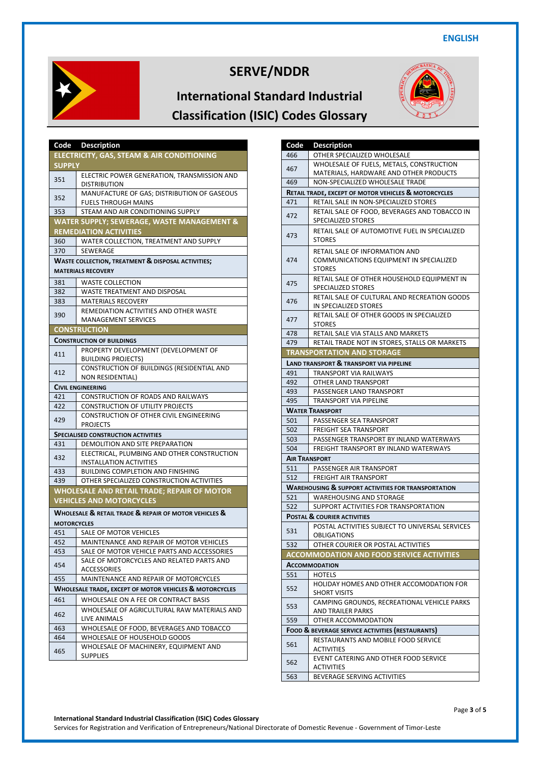



| Code               | <b>Description</b>                                                                 |
|--------------------|------------------------------------------------------------------------------------|
|                    | ELECTRICITY, GAS, STEAM & AIR CONDITIONING                                         |
| <b>SUPPLY</b>      |                                                                                    |
| 351                | ELECTRIC POWER GENERATION, TRANSMISSION AND                                        |
|                    | <b>DISTRIBUTION</b>                                                                |
| 352<br>353         | MANUFACTURE OF GAS; DISTRIBUTION OF GASEOUS<br><b>FUELS THROUGH MAINS</b>          |
|                    | STEAM AND AIR CONDITIONING SUPPLY                                                  |
|                    | WATER SUPPLY; SEWERAGE, WASTE MANAGEMENT &                                         |
|                    | <b>REMEDIATION ACTIVITIES</b>                                                      |
| 360                | WATER COLLECTION, TREATMENT AND SUPPLY                                             |
| 370                | <b>SEWERAGE</b>                                                                    |
|                    | <b>WASTE COLLECTION, TREATMENT &amp; DISPOSAL ACTIVITIES;</b>                      |
|                    | <b>MATERIALS RECOVERY</b>                                                          |
| 381                | <b>WASTE COLLECTION</b>                                                            |
| 382                | WASTE TREATMENT AND DISPOSAL                                                       |
| 383                | <b>MATERIALS RECOVERY</b>                                                          |
|                    | REMEDIATION ACTIVITIES AND OTHER WASTE                                             |
| 390                | <b>MANAGEMENT SERVICES</b>                                                         |
|                    | <b>CONSTRUCTION</b>                                                                |
|                    | <b>CONSTRUCTION OF BUILDINGS</b>                                                   |
| 411                | PROPERTY DEVELOPMENT (DEVELOPMENT OF                                               |
|                    | <b>BUILDING PROJECTS)</b>                                                          |
| 412                | CONSTRUCTION OF BUILDINGS (RESIDENTIAL AND                                         |
|                    | NON RESIDENTIAL)                                                                   |
|                    | <b>CIVIL ENGINEERING</b>                                                           |
| 421                | <b>CONSTRUCTION OF ROADS AND RAILWAYS</b>                                          |
| 422                | <b>CONSTRUCTION OF UTILITY PROJECTS</b><br>CONSTRUCTION OF OTHER CIVIL ENGINEERING |
| 429                | <b>PROJECTS</b>                                                                    |
|                    | <b>SPECIALISED CONSTRUCTION ACTIVITIES</b>                                         |
| 431                | DEMOLITION AND SITE PREPARATION                                                    |
|                    | ELECTRICAL, PLUMBING AND OTHER CONSTRUCTION                                        |
| 432                | <b>INSTALLATION ACTIVITIES</b>                                                     |
| 433                | <b>BUILDING COMPLETION AND FINISHING</b>                                           |
| 439                | OTHER SPECIALIZED CONSTRUCTION ACTIVITIES                                          |
|                    | WHOLESALE AND RETAIL TRADE; REPAIR OF MOTOR                                        |
|                    | <b>VEHICLES AND MOTORCYCLES</b>                                                    |
|                    | WHOLESALE & RETAIL TRADE & REPAIR OF MOTOR VEHICLES &                              |
| <b>MOTORCYCLES</b> |                                                                                    |
| 451                | SALE OF MOTOR VEHICLES                                                             |
| 452                | MAINTENANCE AND REPAIR OF MOTOR VEHICLES                                           |
| 453                | SALE OF MOTOR VEHICLE PARTS AND ACCESSORIES                                        |
| 454                | SALE OF MOTORCYCLES AND RELATED PARTS AND                                          |
|                    | ACCESSORIES                                                                        |
| 455                | MAINTENANCE AND REPAIR OF MOTORCYCLES                                              |
|                    | WHOLESALE TRADE, EXCEPT OF MOTOR VEHICLES & MOTORCYCLES                            |
| 461                | WHOLESALE ON A FEE OR CONTRACT BASIS                                               |
| 462                | WHOLESALE OF AGRICULTURAL RAW MATERIALS AND                                        |
|                    | LIVE ANIMALS                                                                       |
| 463<br>464         | WHOLESALE OF FOOD, BEVERAGES AND TOBACCO<br>WHOLESALE OF HOUSEHOLD GOODS           |
|                    | WHOLESALE OF MACHINERY, EQUIPMENT AND                                              |
| 465                | <b>SUPPLIES</b>                                                                    |

| Code                                             | <b>Description</b>                                              |
|--------------------------------------------------|-----------------------------------------------------------------|
| 466                                              | OTHER SPECIALIZED WHOLESALE                                     |
| 467                                              | WHOLESALE OF FUELS, METALS, CONSTRUCTION                        |
|                                                  | MATERIALS, HARDWARE AND OTHER PRODUCTS                          |
| 469                                              | NON-SPECIALIZED WHOLESALE TRADE                                 |
|                                                  | <b>RETAIL TRADE, EXCEPT OF MOTOR VEHICLES &amp; MOTORCYCLES</b> |
| 471                                              | RETAIL SALE IN NON-SPECIALIZED STORES                           |
|                                                  | RETAIL SALE OF FOOD, BEVERAGES AND TOBACCO IN                   |
| 472                                              | SPECIALIZED STORES                                              |
|                                                  | RETAIL SALE OF AUTOMOTIVE FUEL IN SPECIALIZED                   |
| 473                                              | <b>STORES</b>                                                   |
|                                                  | RETAIL SALE OF INFORMATION AND                                  |
| 474                                              | COMMUNICATIONS EQUIPMENT IN SPECIALIZED                         |
|                                                  | <b>STORES</b>                                                   |
|                                                  | RETAIL SALE OF OTHER HOUSEHOLD EQUIPMENT IN                     |
| 475                                              | SPECIALIZED STORES                                              |
| 476                                              | RETAIL SALE OF CULTURAL AND RECREATION GOODS                    |
|                                                  | IN SPECIALIZED STORES                                           |
| 477                                              | RETAIL SALE OF OTHER GOODS IN SPECIALIZED                       |
|                                                  | <b>STORES</b>                                                   |
| 478                                              | RETAIL SALE VIA STALLS AND MARKETS                              |
| 479                                              | RETAIL TRADE NOT IN STORES, STALLS OR MARKETS                   |
|                                                  | <b>TRANSPORTATION AND STORAGE</b>                               |
|                                                  | <b>LAND TRANSPORT &amp; TRANSPORT VIA PIPELINE</b>              |
| 491                                              | TRANSPORT VIA RAILWAYS                                          |
| 492                                              | OTHER LAND TRANSPORT                                            |
| 493                                              | PASSENGER LAND TRANSPORT                                        |
| 495                                              | TRANSPORT VIA PIPELINE                                          |
|                                                  | <b>WATER TRANSPORT</b>                                          |
| 501                                              | PASSENGER SEA TRANSPORT                                         |
| 502                                              | <b>FREIGHT SEA TRANSPORT</b>                                    |
| 503                                              | PASSENGER TRANSPORT BY INLAND WATERWAYS                         |
| 504                                              | FREIGHT TRANSPORT BY INLAND WATERWAYS                           |
|                                                  | <b>AIR TRANSPORT</b>                                            |
| 511                                              | PASSENGER AIR TRANSPORT                                         |
| 512                                              | <b>FREIGHT AIR TRANSPORT</b>                                    |
|                                                  | <b>WAREHOUSING &amp; SUPPORT ACTIVITIES FOR TRANSPORTATION</b>  |
| 521                                              | WAREHOUSING AND STORAGE                                         |
| 522                                              | SUPPORT ACTIVITIES FOR TRANSPORTATION                           |
|                                                  | <b>POSTAL &amp; COURIER ACTIVITIES</b>                          |
| 531                                              | POSTAL ACTIVITIES SUBJECT TO UNIVERSAL SERVICES                 |
|                                                  | OBLIGATIONS                                                     |
| 532                                              | OTHER COURIER OR POSTAL ACTIVITIES                              |
|                                                  | <b>ACCOMMODATION AND FOOD SERVICE ACTIVITIES</b>                |
|                                                  | <b>ACCOMMODATION</b>                                            |
| 551                                              | <b>HOTELS</b>                                                   |
| 552                                              | HOLIDAY HOMES AND OTHER ACCOMODATION FOR                        |
|                                                  | <b>SHORT VISITS</b>                                             |
| 553                                              | CAMPING GROUNDS, RECREATIONAL VEHICLE PARKS                     |
|                                                  | AND TRAILER PARKS                                               |
| 559                                              | OTHER ACCOMMODATION                                             |
| FOOD & BEVERAGE SERVICE ACTIVITIES (RESTAURANTS) |                                                                 |
| 561                                              | RESTAURANTS AND MOBILE FOOD SERVICE                             |
|                                                  | <b>ACTIVITIES</b>                                               |
| 562                                              | EVENT CATERING AND OTHER FOOD SERVICE                           |
|                                                  | ACTIVITIES                                                      |
| 563                                              | BEVERAGE SERVING ACTIVITIES                                     |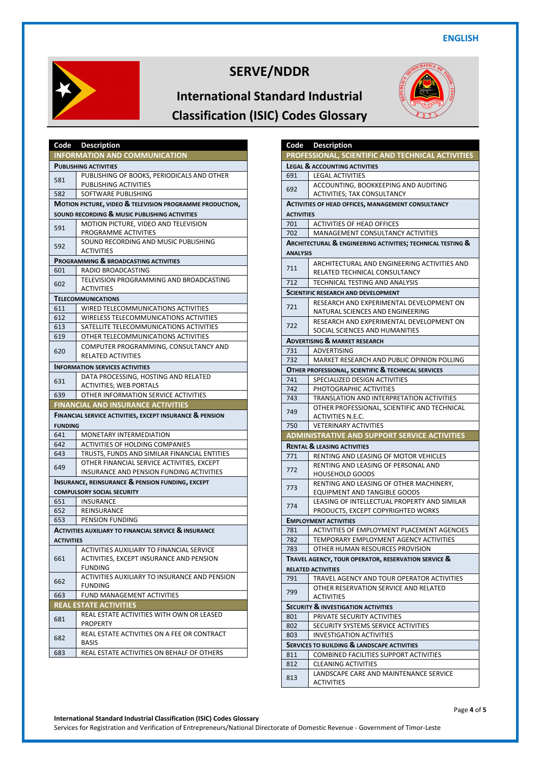

#### **International Standard Industrial Classification (ISIC) Codes Glossary**



| Code              | <b>Description</b>                                                  |
|-------------------|---------------------------------------------------------------------|
|                   | <b>INFORMATION AND COMMUNICATION</b>                                |
|                   | <b>PUBLISHING ACTIVITIES</b>                                        |
| 581               | PUBLISHING OF BOOKS, PERIODICALS AND OTHER                          |
|                   | PUBLISHING ACTIVITIES                                               |
| 582               | SOFTWARE PUBLISHING                                                 |
|                   | <b>MOTION PICTURE, VIDEO &amp; TELEVISION PROGRAMME PRODUCTION,</b> |
|                   | SOUND RECORDING & MUSIC PUBLISHING ACTIVITIES                       |
| 591               | MOTION PICTURE, VIDEO AND TELEVISION                                |
|                   | PROGRAMME ACTIVITIES                                                |
| 592               | SOUND RECORDING AND MUSIC PUBLISHING                                |
|                   | <b>ACTIVITIES</b>                                                   |
|                   | PROGRAMMING & BROADCASTING ACTIVITIES                               |
| 601               | RADIO BROADCASTING<br>TELEVISION PROGRAMMING AND BROADCASTING       |
| 602               | ACTIVITIES                                                          |
|                   | <b>TELECOMMUNICATIONS</b>                                           |
| 611               | WIRED TELECOMMUNICATIONS ACTIVITIES                                 |
| 612               | WIRELESS TELECOMMUNICATIONS ACTIVITIES                              |
| 613               | SATELLITE TELECOMMUNICATIONS ACTIVITIES                             |
| 619               | OTHER TELECOMMUNICATIONS ACTIVITIES                                 |
|                   | COMPUTER PROGRAMMING, CONSULTANCY AND                               |
| 620               | <b>RELATED ACTIVITIES</b>                                           |
|                   | <b>INFORMATION SERVICES ACTIVITIES</b>                              |
|                   | DATA PROCESSING, HOSTING AND RELATED                                |
| 631               | <b>ACTIVITIES; WEB PORTALS</b>                                      |
| 639               | OTHER INFORMATION SERVICE ACTIVITIES                                |
|                   | <b>FINANCIAL AND INSURANCE ACTIVITIES</b>                           |
|                   |                                                                     |
|                   | <b>FINANCIAL SERVICE ACTIVITIES, EXCEPT INSURANCE &amp; PENSION</b> |
| <b>FUNDING</b>    |                                                                     |
| 641               | MONETARY INTERMEDIATION                                             |
| 642               | ACTIVITIES OF HOLDING COMPANIES                                     |
| 643               | TRUSTS, FUNDS AND SIMILAR FINANCIAL ENTITIES                        |
|                   | OTHER FINANCIAL SERVICE ACTIVITIES, EXCEPT                          |
| 649               | INSURANCE AND PENSION FUNDING ACTIVITIES                            |
|                   | <b>INSURANCE, REINSURANCE &amp; PENSION FUNDING, EXCEPT</b>         |
|                   | <b>COMPULSORY SOCIAL SECURITY</b>                                   |
| 651               | <b>INSURANCE</b>                                                    |
| 652               | REINSURANCE                                                         |
| 653               | PENSION FUNDING                                                     |
|                   | <b>ACTIVITIES AUXILIARY TO FINANCIAL SERVICE &amp; INSURANCE</b>    |
| <b>ACTIVITIES</b> |                                                                     |
|                   | ACTIVITIES AUXILIARY TO FINANCIAL SERVICE                           |
| 661               | ACTIVITIES, EXCEPT INSURANCE AND PENSION                            |
|                   | <b>FUNDING</b>                                                      |
| 662               | ACTIVITIES AUXILIARY TO INSURANCE AND PENSION<br><b>FUNDING</b>     |
| 663               | FUND MANAGEMENT ACTIVITIES                                          |
|                   | <b>REAL ESTATE ACTIVITIES</b>                                       |
|                   | REAL ESTATE ACTIVITIES WITH OWN OR LEASED                           |
| 681               | <b>PROPERTY</b>                                                     |
|                   | REAL ESTATE ACTIVITIES ON A FEE OR CONTRACT                         |
| 682               | BASIS                                                               |

| Code                                                | <b>Description</b>                                                |
|-----------------------------------------------------|-------------------------------------------------------------------|
|                                                     | PROFESSIONAL, SCIENTIFIC AND TECHNICAL ACTIVITIES                 |
|                                                     | <b>LEGAL &amp; ACCOUNTING ACTIVITIES</b>                          |
| 691                                                 | <b>LEGAL ACTIVITIES</b>                                           |
| 692                                                 | ACCOUNTING, BOOKKEEPING AND AUDITING                              |
|                                                     | ACTIVITIES; TAX CONSULTANCY                                       |
|                                                     | <b>ACTIVITIES OF HEAD OFFICES, MANAGEMENT CONSULTANCY</b>         |
| <b>ACTIVITIES</b>                                   |                                                                   |
| 701                                                 | <b>ACTIVITIES OF HEAD OFFICES</b>                                 |
| 702                                                 | MANAGEMENT CONSULTANCY ACTIVITIES                                 |
|                                                     | ARCHITECTURAL & ENGINEERING ACTIVITIES; TECHNICAL TESTING &       |
| <b>ANALYSIS</b>                                     |                                                                   |
| 711                                                 | ARCHITECTURAL AND ENGINEERING ACTIVITIES AND                      |
|                                                     | RELATED TECHNICAL CONSULTANCY                                     |
| 712                                                 | <b>TECHNICAL TESTING AND ANALYSIS</b>                             |
|                                                     | <b>SCIENTIFIC RESEARCH AND DEVELOPMENT</b>                        |
| 721                                                 | RESEARCH AND EXPERIMENTAL DEVELOPMENT ON                          |
|                                                     | NATURAL SCIENCES AND ENGINEERING                                  |
| 722                                                 | RESEARCH AND EXPERIMENTAL DEVELOPMENT ON                          |
|                                                     | SOCIAL SCIENCES AND HUMANITIES                                    |
|                                                     | <b>ADVERTISING &amp; MARKET RESEARCH</b>                          |
| 731                                                 | ADVERTISING                                                       |
| 732                                                 | MARKET RESEARCH AND PUBLIC OPINION POLLING                        |
|                                                     | OTHER PROFESSIONAL, SCIENTIFIC & TECHNICAL SERVICES               |
| 741                                                 | SPECIALIZED DESIGN ACTIVITIES                                     |
| 742                                                 | PHOTOGRAPHIC ACTIVITIES                                           |
| 743                                                 | TRANSLATION AND INTERPRETATION ACTIVITIES                         |
| 749                                                 | OTHER PROFESSIONAL, SCIENTIFIC AND TECHNICAL                      |
|                                                     | ACTIVITIES N.E.C.                                                 |
| 750                                                 | <b>VETERINARY ACTIVITIES</b>                                      |
|                                                     | ADMINISTRATIVE AND SUPPORT SERVICE ACTIVITIES                     |
|                                                     | <b>RENTAL &amp; LEASING ACTIVITIES</b>                            |
| 771                                                 | RENTING AND LEASING OF MOTOR VEHICLES                             |
| 772                                                 | RENTING AND LEASING OF PERSONAL AND                               |
|                                                     | <b>HOUSEHOLD GOODS</b><br>RENTING AND LEASING OF OTHER MACHINERY, |
| 773                                                 | <b>EQUIPMENT AND TANGIBLE GOODS</b>                               |
|                                                     | LEASING OF INTELLECTUAL PROPERTY AND SIMILAR                      |
| 774                                                 | PRODUCTS, EXCEPT COPYRIGHTED WORKS                                |
|                                                     | <b>EMPLOYMENT ACTIVITIES</b>                                      |
| 781                                                 | ACTIVITIES OF EMPLOYMENT PLACEMENT AGENCIES                       |
| 782                                                 | TEMPORARY EMPLOYMENT AGENCY ACTIVITIES                            |
| 783                                                 | OTHER HUMAN RESOURCES PROVISION                                   |
| TRAVEL AGENCY, TOUR OPERATOR, RESERVATION SERVICE & |                                                                   |
|                                                     | <b>RELATED ACTIVITIES</b>                                         |
| 791                                                 | TRAVEL AGENCY AND TOUR OPERATOR ACTIVITIES                        |
| 799                                                 | OTHER RESERVATION SERVICE AND RELATED                             |
|                                                     | <b>ACTIVITIES</b>                                                 |
|                                                     | <b>SECURITY &amp; INVESTIGATION ACTIVITIES</b>                    |
| 801                                                 | PRIVATE SECURITY ACTIVITIES                                       |
| 802                                                 | SECURITY SYSTEMS SERVICE ACTIVITIES                               |
| 803                                                 | <b>INVESTIGATION ACTIVITIES</b>                                   |
| SERVICES TO BUILDING & LANDSCAPE ACTIVITIES         |                                                                   |
| 811                                                 | COMBINED FACILITIES SUPPORT ACTIVITIES                            |
| 812                                                 | <b>CLEANING ACTIVITIES</b>                                        |
| 813                                                 | LANDSCAPE CARE AND MAINTENANCE SERVICE                            |
|                                                     | ACTIVITIES                                                        |

Services for Registration and Verification of Entrepreneurs/National Directorate of Domestic Revenue - Government of Timor-Leste